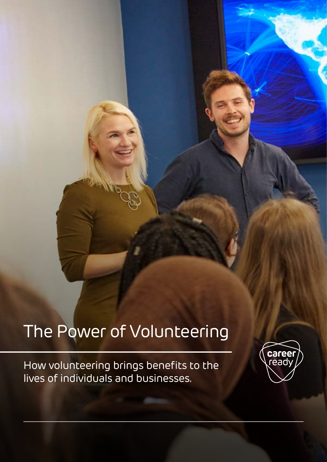# The Power of Volunteering

How volunteering brings benefits to the lives of individuals and businesses.

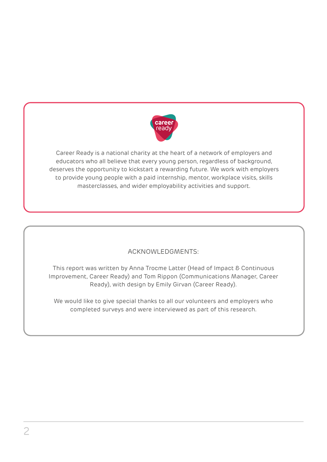

Career Ready is a national charity at the heart of a network of employers and educators who all believe that every young person, regardless of background, deserves the opportunity to kickstart a rewarding future. We work with employers to provide young people with a paid internship, mentor, workplace visits, skills masterclasses, and wider employability activities and support.

#### ACKNOWLEDGMENTS:

This report was written by Anna Trocme Latter (Head of Impact & Continuous Improvement, Career Ready) and Tom Rippon (Communications Manager, Career Ready), with design by Emily Girvan (Career Ready).

We would like to give special thanks to all our volunteers and employers who completed surveys and were interviewed as part of this research.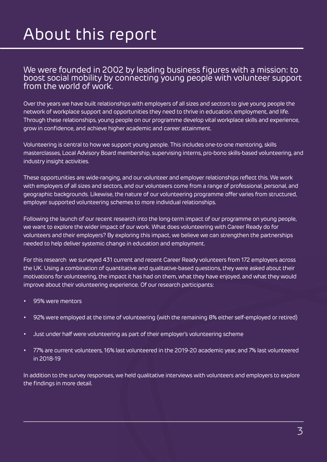# About this report

#### We were founded in 2002 by leading business figures with a mission: to boost social mobility by connecting young people with volunteer support from the world of work.

Over the years we have built relationships with employers of all sizes and sectors to give young people the network of workplace support and opportunities they need to thrive in education, employment, and life. Through these relationships, young people on our programme develop vital workplace skills and experience, grow in confidence, and achieve higher academic and career attainment.

Volunteering is central to how we support young people. This includes one-to-one mentoring, skills masterclasses, Local Advisory Board membership, supervising interns, pro-bono skills-based volunteering, and industry insight activities.

These opportunities are wide-ranging, and our volunteer and employer relationships reflect this. We work with employers of all sizes and sectors, and our volunteers come from a range of professional, personal, and geographic backgrounds. Likewise, the nature of our volunteering programme offer varies from structured, employer supported volunteering schemes to more individual relationships.

Following the launch of our recent research into the long-term impact of our programme on young people, we want to explore the wider impact of our work. What does volunteering with Career Ready do for volunteers and their employers? By exploring this impact, we believe we can strengthen the partnerships needed to help deliver systemic change in education and employment.

For this research we surveyed 431 current and recent Career Ready volunteers from 172 employers across the UK. Using a combination of quantitative and qualitative-based questions, they were asked about their motivations for volunteering, the impact it has had on them, what they have enjoyed, and what they would improve about their volunteering experience. Of our research participants:

- 95% were mentors
- 92% were employed at the time of volunteering (with the remaining 8% either self-employed or retired)
- Just under half were volunteering as part of their employer's volunteering scheme
- 77% are current volunteers, 16% last volunteered in the 2019-20 academic year, and 7% last volunteered in 2018-19

In addition to the survey responses, we held qualitative interviews with volunteers and employers to explore the findings in more detail.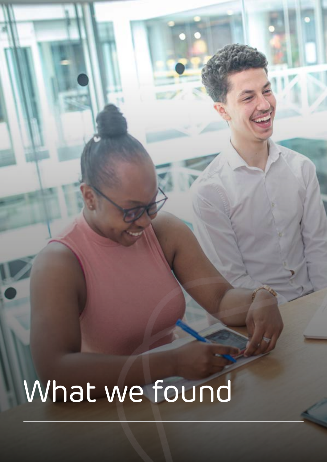# What we found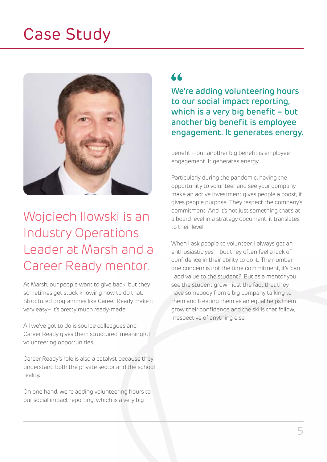## Case Study



### Wojciech Ilowski is an Industry Operations Leader at Marsh and a Career Ready mentor.

At Marsh, our people want to give back, but they sometimes get stuck knowing how to do that. Structured programmes like Career Ready make it very easy– it's pretty much ready-made.

All we've got to do is source colleagues and Career Ready gives them structured, meaningful volunteering opportunities.

Career Ready's role is also a catalyst because they understand both the private sector and the school reality.

On one hand, we're adding volunteering hours to our social impact reporting, which is a very big

#### $\epsilon$

We're adding volunteering hours to our social impact reporting, which is a very big benefit – but another big benefit is employee engagement. It generates energy.

benefit – but another big benefit is employee engagement. It generates energy.

Particularly during the pandemic, having the opportunity to volunteer and see your company make an active investment gives people a boost, it gives people purpose. They respect the company's commitment. And it's not just something that's at a board level in a strategy document, it translates to their level.

When I ask people to volunteer, I always get an enthusiastic yes – but they often feel a lack of confidence in their ability to do it. The number one concern is not the time commitment, it's 'can I add value to the student?' But as a mentor you see the student grow - just the fact that they have somebody from a big company talking to them and treating them as an equal helps them grow their confidence and the skills that follow, irrespective of anything else.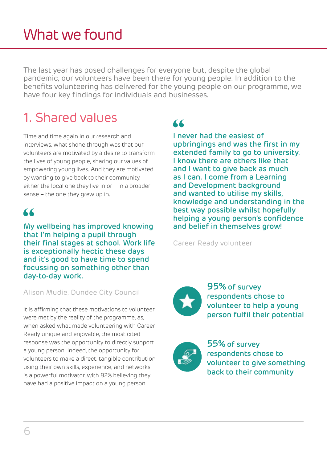The last year has posed challenges for everyone but, despite the global pandemic, our volunteers have been there for young people. In addition to the benefits volunteering has delivered for the young people on our programme, we have four key findings for individuals and businesses.

## 1. Shared values

Time and time again in our research and interviews, what shone through was that our volunteers are motivated by a desire to transform the lives of young people, sharing our values of empowering young lives. And they are motivated by wanting to give back to their community, either the local one they live in or – in a broader sense – the one they grew up in.

#### "

My wellbeing has improved knowing that I'm helping a pupil through their final stages at school. Work life is exceptionally hectic these days and it's good to have time to spend focussing on something other than day-to-day work.

#### Alison Mudie, Dundee City Council

It is affirming that these motivations to volunteer were met by the reality of the programme, as, when asked what made volunteering with Career Ready unique and enjoyable, the most cited response was the opportunity to directly support a young person. Indeed, the opportunity for volunteers to make a direct, tangible contribution using their own skills, experience, and networks is a powerful motivator, with 82% believing they have had a positive impact on a young person.

#### $\blacktriangle$

I never had the easiest of upbringings and was the first in my extended family to go to university. I know there are others like that and I want to give back as much as I can. I come from a Learning and Development background and wanted to utilise my skills, knowledge and understanding in the best way possible whilst hopefully helping a young person's confidence and belief in themselves grow!

Career Ready volunteer

95% of survey respondents chose to volunteer to help a young person fulfil their potential

55% of survey respondents chose to volunteer to give something back to their community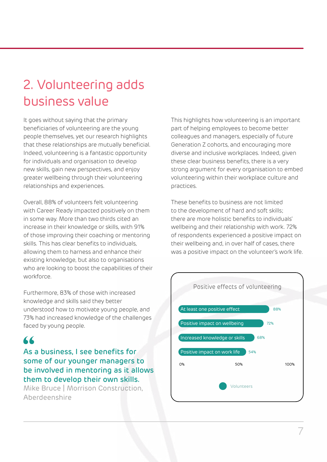### 2. Volunteering adds business value

It goes without saying that the primary beneficiaries of volunteering are the young people themselves, yet our research highlights that these relationships are mutually beneficial. Indeed, volunteering is a fantastic opportunity for individuals and organisation to develop new skills, gain new perspectives, and enjoy greater wellbeing through their volunteering relationships and experiences.

Overall, 88% of volunteers felt volunteering with Career Ready impacted positively on them in some way. More than two thirds cited an increase in their knowledge or skills, with 91% of those improving their coaching or mentoring skills. This has clear benefits to individuals, allowing them to harness and enhance their existing knowledge, but also to organisations who are looking to boost the capabilities of their workforce.

Furthermore, 83% of those with increased knowledge and skills said they better understood how to motivate young people, and 73% had increased knowledge of the challenges faced by young people.

#### $\overline{\mathbf{K}}$

As a business, I see benefits for some of our younger managers to be involved in mentoring as it allows them to develop their own skills.

Mike Bruce | Morrison Construction, Aberdeenshire

This highlights how volunteering is an important part of helping employees to become better colleagues and managers, especially of future Generation Z cohorts, and encouraging more diverse and inclusive workplaces. Indeed, given these clear business benefits, there is a very strong argument for every organisation to embed volunteering within their workplace culture and practices.

These benefits to business are not limited to the development of hard and soft skills; there are more holistic benefits to individuals' wellbeing and their relationship with work. 72% of respondents experienced a positive impact on their wellbeing and, in over half of cases, there was a positive impact on the volunteer's work life.

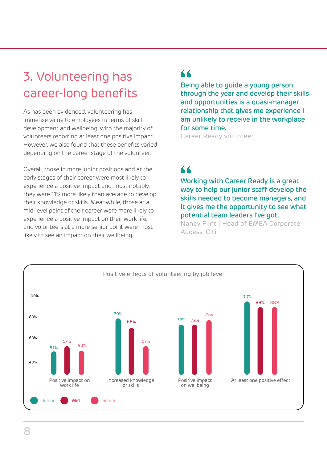#### 3. Volunteering has career-long benefits

As has been evidenced, volunteering has immense value to employees in terms of skill development and wellbeing, with the majority of volunteers reporting at least one positive impact. However, we also found that these benefits varied depending on the career stage of the volunteer.

Overall, those in more junior positions and at the early stages of their career were most likely to experience a positive impact and, most notably, they were 11% more likely than average to develop their knowledge or skills. Meanwhile, those at a mid-level point of their career were more likely to experience a positive impact on their work life, and volunteers at a more senior point were most likely to see an impact on their wellbeing.

#### $\epsilon$

Being able to guide a young person through the year and develop their skills and opportunities is a quasi-manager relationship that gives me experience I am unlikely to receive in the workplace for some time.

Career Ready volunteer

#### $\epsilon$

Working with Career Ready is a great way to help our junior staff develop the skills needed to become managers, and it gives me the opportunity to see what potential team leaders I've got.

Nancy Flint | Head of EMEA Corporate Access, Citi

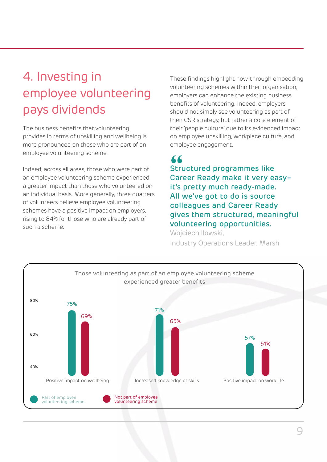### 4. Investing in employee volunteering pays dividends

The business benefits that volunteering provides in terms of upskilling and wellbeing is more pronounced on those who are part of an employee volunteering scheme.

Indeed, across all areas, those who were part of an employee volunteering scheme experienced a greater impact than those who volunteered on an individual basis. More generally, three quarters of volunteers believe employee volunteering schemes have a positive impact on employers, rising to 84% for those who are already part of such a scheme.

These findings highlight how, through embedding volunteering schemes within their organisation, employers can enhance the existing business benefits of volunteering. Indeed, employers should not simply see volunteering as part of their CSR strategy, but rather a core element of their 'people culture' due to its evidenced impact on employee upskilling, workplace culture, and employee engagement.

#### $\epsilon$

Structured programmes like Career Ready make it very easy– it's pretty much ready-made. All we've got to do is source colleagues and Career Ready gives them structured, meaningful volunteering opportunities. Wojciech Ilowski,

Industry Operations Leader, Marsh

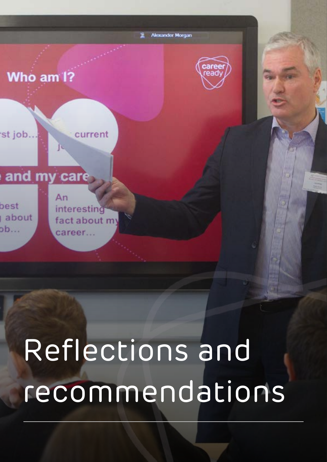

# Reflections and recommendations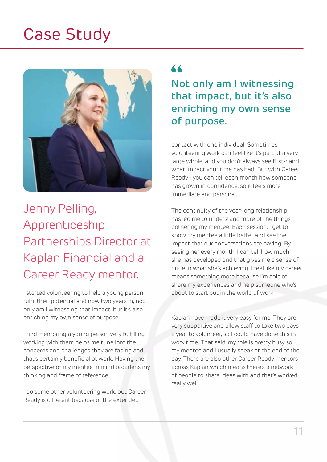## Case Study



Jenny Pelling, Apprenticeship Partnerships Director at Kaplan Financial and a Career Ready mentor.

I started volunteering to help a young person fulfil their potential and now two years in, not only am I witnessing that impact, but it's also enriching my own sense of purpose.

I find mentoring a young person very fulfilling, working with them helps me tune into the concerns and challenges they are facing and that's certainly beneficial at work. Having the perspective of my mentee in mind broadens my thinking and frame of reference.

I do some other volunteering work, but Career Ready is different because of the extended

#### "

Not only am I witnessing that impact, but it's also enriching my own sense of purpose.

contact with one individual. Sometimes volunteering work can feel like it's part of a very large whole, and you don't always see first-hand what impact your time has had. But with Career Ready - you can tell each month how someone has grown in confidence, so it feels more immediate and personal.

The continuity of the year-long relationship has led me to understand more of the things bothering my mentee. Each session, I get to know my mentee a little better and see the impact that our conversations are having. By seeing her every month, I can tell how much she has developed and that gives me a sense of pride in what she's achieving. I feel like my career means something more because I'm able to share my experiences and help someone who's about to start out in the world of work.

Kaplan have made it very easy for me. They are very supportive and allow staff to take two days a year to volunteer, so I could have done this in work time. That said, my role is pretty busy so my mentee and I usually speak at the end of the day. There are also other Career Ready mentors across Kaplan which means there's a network of people to share ideas with and that's worked really well.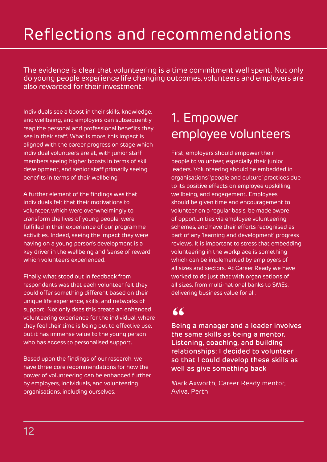# Reflections and recommendations

The evidence is clear that volunteering is a time commitment well spent. Not only do young people experience life changing outcomes, volunteers and employers are also rewarded for their investment.

Individuals see a boost in their skills, knowledge, and wellbeing, and employers can subsequently reap the personal and professional benefits they see in their staff. What is more, this impact is aligned with the career progression stage which individual volunteers are at, with junior staff members seeing higher boosts in terms of skill development, and senior staff primarily seeing benefits in terms of their wellbeing.

A further element of the findings was that individuals felt that their motivations to volunteer, which were overwhelmingly to transform the lives of young people, were fulfilled in their experience of our programme activities. Indeed, seeing the impact they were having on a young person's development is a key driver in the wellbeing and 'sense of reward' which volunteers experienced.

Finally, what stood out in feedback from respondents was that each volunteer felt they could offer something different based on their unique life experience, skills, and networks of support. Not only does this create an enhanced volunteering experience for the individual, where they feel their time is being put to effective use, but it has immense value to the young person who has access to personalised support.

Based upon the findings of our research, we have three core recommendations for how the power of volunteering can be enhanced further by employers, individuals, and volunteering organisations, including ourselves.

#### 1. Empower employee volunteers

First, employers should empower their people to volunteer, especially their junior leaders. Volunteering should be embedded in organisations' 'people and culture' practices due to its positive effects on employee upskilling, wellbeing, and engagement. Employees should be given time and encouragement to volunteer on a regular basis, be made aware of opportunities via employee volunteering schemes, and have their efforts recognised as part of any 'learning and development' progress reviews. It is important to stress that embedding volunteering in the workplace is something which can be implemented by employers of all sizes and sectors. At Career Ready we have worked to do just that with organisations of all sizes, from multi-national banks to SMEs, delivering business value for all.

#### 66

Being a manager and a leader involves the same skills as being a mentor. Listening, coaching, and building relationships; I decided to volunteer so that I could develop these skills as well as give something back

Mark Axworth, Career Ready mentor, Aviva, Perth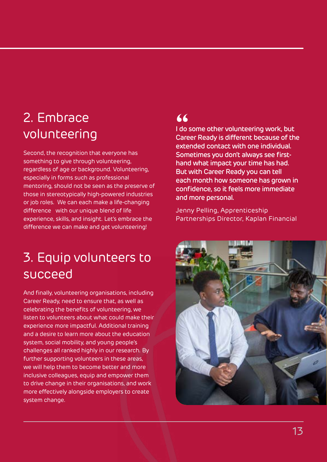## 2. Embrace volunteering

Second, the recognition that everyone has something to give through volunteering, regardless of age or background. Volunteering, especially in forms such as professional mentoring, should not be seen as the preserve of those in stereotypically high-powered industries or job roles. We can each make a life-changing difference with our unique blend of life experience, skills, and insight. Let's embrace the difference we can make and get volunteering!

### 3. Equip volunteers to succeed

And finally, volunteering organisations, including Career Ready, need to ensure that, as well as celebrating the benefits of volunteering, we listen to volunteers about what could make their experience more impactful. Additional training and a desire to learn more about the education system, social mobility, and young people's challenges all ranked highly in our research. By further supporting volunteers in these areas, we will help them to become better and more inclusive colleagues, equip and empower them to drive change in their organisations, and work more effectively alongside employers to create system change.

#### $\epsilon$

I do some other volunteering work, but Career Ready is different because of the extended contact with one individual. Sometimes you don't always see firsthand what impact your time has had. But with Career Ready you can tell each month how someone has grown in confidence, so it feels more immediate and more personal.

Jenny Pelling, Apprenticeship Partnerships Director, Kaplan Financial